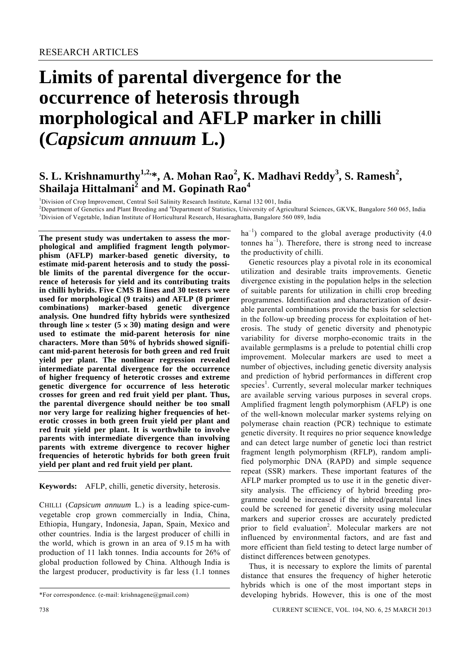# **Limits of parental divergence for the occurrence of heterosis through morphological and AFLP marker in chilli (***Capsicum annuum* **L.)**

# **S. L. Krishnamurthy<sup>1,2,</sup>\*, A. Mohan Rao<sup>2</sup>, K. Madhavi Reddy<sup>3</sup>, S. Ramesh<sup>2</sup>, Shailaja Hittalmani<sup>2</sup> and M. Gopinath Rao<sup>4</sup>**

<sup>1</sup>Division of Crop Improvement, Central Soil Salinity Research Institute, Karnal 132 001, India<br><sup>2</sup>Department of Constitue and Plant Braeding and <sup>4</sup>Department of Statistics, University of Agricu

<sup>2</sup>Department of Genetics and Plant Breeding and <sup>4</sup>Department of Statistics, University of Agricultural Sciences, GKVK, Bangalore 560 065, India <sup>3</sup>Division of Vegetable, India 30<sup>3</sup>Division of Vegetable, India <sup>3</sup>Division of Vegetable, Indian Institute of Horticultural Research, Hesaraghatta, Bangalore 560 089, India

**The present study was undertaken to assess the morphological and amplified fragment length polymorphism (AFLP) marker-based genetic diversity, to estimate mid-parent heterosis and to study the possible limits of the parental divergence for the occurrence of heterosis for yield and its contributing traits in chilli hybrids. Five CMS B lines and 30 testers were used for morphological (9 traits) and AFLP (8 primer combinations) marker-based genetic divergence analysis. One hundred fifty hybrids were synthesized through line**  $\times$  **tester (5**  $\times$  **30) mating design and were used to estimate the mid-parent heterosis for nine characters. More than 50% of hybrids showed significant mid-parent heterosis for both green and red fruit yield per plant. The nonlinear regression revealed intermediate parental divergence for the occurrence of higher frequency of heterotic crosses and extreme genetic divergence for occurrence of less heterotic crosses for green and red fruit yield per plant. Thus, the parental divergence should neither be too small nor very large for realizing higher frequencies of heterotic crosses in both green fruit yield per plant and red fruit yield per plant. It is worthwhile to involve parents with intermediate divergence than involving parents with extreme divergence to recover higher frequencies of heterotic hybrids for both green fruit yield per plant and red fruit yield per plant.** 

**Keywords:** AFLP, chilli, genetic diversity, heterosis.

CHILLI (*Capsicum annuum* L.) is a leading spice-cumvegetable crop grown commercially in India, China, Ethiopia, Hungary, Indonesia, Japan, Spain, Mexico and other countries. India is the largest producer of chilli in the world, which is grown in an area of 9.15 m ha with production of 11 lakh tonnes. India accounts for 26% of global production followed by China. Although India is the largest producer, productivity is far less (1.1 tonnes  $ha^{-1}$ ) compared to the global average productivity (4.0) tonnes  $ha^{-1}$ ). Therefore, there is strong need to increase the productivity of chilli.

 Genetic resources play a pivotal role in its economical utilization and desirable traits improvements. Genetic divergence existing in the population helps in the selection of suitable parents for utilization in chilli crop breeding programmes. Identification and characterization of desirable parental combinations provide the basis for selection in the follow-up breeding process for exploitation of heterosis. The study of genetic diversity and phenotypic variability for diverse morpho-economic traits in the available germplasms is a prelude to potential chilli crop improvement. Molecular markers are used to meet a number of objectives, including genetic diversity analysis and prediction of hybrid performances in different crop species<sup>1</sup>. Currently, several molecular marker techniques are available serving various purposes in several crops. Amplified fragment length polymorphism (AFLP) is one of the well-known molecular marker systems relying on polymerase chain reaction (PCR) technique to estimate genetic diversity. It requires no prior sequence knowledge and can detect large number of genetic loci than restrict fragment length polymorphism (RFLP), random amplified polymorphic DNA (RAPD) and simple sequence repeat (SSR) markers. These important features of the AFLP marker prompted us to use it in the genetic diversity analysis. The efficiency of hybrid breeding programme could be increased if the inbred/parental lines could be screened for genetic diversity using molecular markers and superior crosses are accurately predicted prior to field evaluation<sup>2</sup>. Molecular markers are not influenced by environmental factors, and are fast and more efficient than field testing to detect large number of distinct differences between genotypes.

 Thus, it is necessary to explore the limits of parental distance that ensures the frequency of higher heterotic hybrids which is one of the most important steps in developing hybrids. However, this is one of the most

<sup>\*</sup>For correspondence. (e-mail: krishnagene@gmail.com)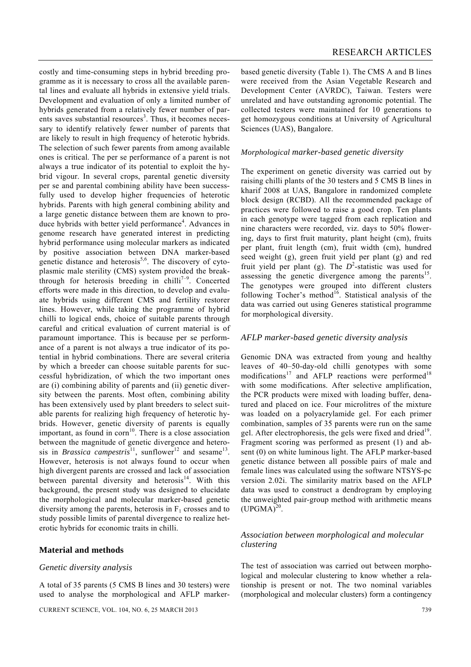costly and time-consuming steps in hybrid breeding programme as it is necessary to cross all the available parental lines and evaluate all hybrids in extensive yield trials. Development and evaluation of only a limited number of hybrids generated from a relatively fewer number of parents saves substantial resources<sup>3</sup>. Thus, it becomes necessary to identify relatively fewer number of parents that are likely to result in high frequency of heterotic hybrids. The selection of such fewer parents from among available ones is critical. The per se performance of a parent is not always a true indicator of its potential to exploit the hybrid vigour. In several crops, parental genetic diversity per se and parental combining ability have been successfully used to develop higher frequencies of heterotic hybrids. Parents with high general combining ability and a large genetic distance between them are known to produce hybrids with better yield performance<sup>4</sup>. Advances in genome research have generated interest in predicting hybrid performance using molecular markers as indicated by positive association between DNA marker-based genetic distance and heterosis<sup>5,6</sup>. The discovery of cytoplasmic male sterility (CMS) system provided the breakthrough for heterosis breeding in chilli<sup>7-9</sup>. Concerted efforts were made in this direction, to develop and evaluate hybrids using different CMS and fertility restorer lines. However, while taking the programme of hybrid chilli to logical ends, choice of suitable parents through careful and critical evaluation of current material is of paramount importance. This is because per se performance of a parent is not always a true indicator of its potential in hybrid combinations. There are several criteria by which a breeder can choose suitable parents for successful hybridization, of which the two important ones are (i) combining ability of parents and (ii) genetic diversity between the parents. Most often, combining ability has been extensively used by plant breeders to select suitable parents for realizing high frequency of heterotic hybrids. However, genetic diversity of parents is equally important, as found in  $com<sup>10</sup>$ . There is a close association between the magnitude of genetic divergence and heterosis in *Brassica campestris*<sup>11</sup>, sunflower<sup>12</sup> and sesame<sup>13</sup>. However, heterosis is not always found to occur when high divergent parents are crossed and lack of association between parental diversity and heterosis $14$ . With this background, the present study was designed to elucidate the morphological and molecular marker-based genetic diversity among the parents, heterosis in  $F_1$  crosses and to study possible limits of parental divergence to realize heterotic hybrids for economic traits in chilli.

#### **Material and methods**

#### *Genetic diversity analysis*

A total of 35 parents (5 CMS B lines and 30 testers) were used to analyse the morphological and AFLP markerbased genetic diversity (Table 1). The CMS A and B lines were received from the Asian Vegetable Research and Development Center (AVRDC), Taiwan. Testers were unrelated and have outstanding agronomic potential. The collected testers were maintained for 10 generations to get homozygous conditions at University of Agricultural Sciences (UAS), Bangalore.

#### *Morphological marker-based genetic diversity*

The experiment on genetic diversity was carried out by raising chilli plants of the 30 testers and 5 CMS B lines in kharif 2008 at UAS, Bangalore in randomized complete block design (RCBD). All the recommended package of practices were followed to raise a good crop. Ten plants in each genotype were tagged from each replication and nine characters were recorded, viz. days to 50% flowering, days to first fruit maturity, plant height (cm), fruits per plant, fruit length (cm), fruit width (cm), hundred seed weight (g), green fruit yield per plant (g) and red fruit yield per plant (g). The  $D^2$ -statistic was used for assessing the genetic divergence among the parents<sup>15</sup>. The genotypes were grouped into different clusters following Tocher's method<sup>16</sup>. Statistical analysis of the data was carried out using Generes statistical programme for morphological diversity.

#### *AFLP marker-based genetic diversity analysis*

Genomic DNA was extracted from young and healthy leaves of 40–50-day-old chilli genotypes with some modifications<sup>17</sup> and AFLP reactions were performed<sup>18</sup> with some modifications. After selective amplification, the PCR products were mixed with loading buffer, denatured and placed on ice. Four microlitres of the mixture was loaded on a polyacrylamide gel. For each primer combination, samples of 35 parents were run on the same gel. After electrophoresis, the gels were fixed and dried<sup>19</sup>. Fragment scoring was performed as present (1) and absent (0) on white luminous light. The AFLP marker-based genetic distance between all possible pairs of male and female lines was calculated using the software NTSYS-pc version 2.02i. The similarity matrix based on the AFLP data was used to construct a dendrogram by employing the unweighted pair-group method with arithmetic means  $(UPGMA)^{20}$ .

## *Association between morphological and molecular clustering*

The test of association was carried out between morphological and molecular clustering to know whether a relationship is present or not. The two nominal variables (morphological and molecular clusters) form a contingency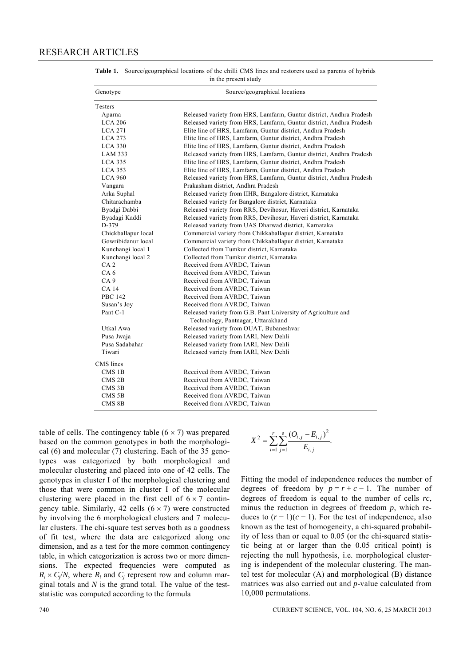| Genotype            | Source/geographical locations                                       |  |  |  |  |
|---------------------|---------------------------------------------------------------------|--|--|--|--|
| Testers             |                                                                     |  |  |  |  |
| Aparna              | Released variety from HRS, Lamfarm, Guntur district, Andhra Pradesh |  |  |  |  |
| <b>LCA 206</b>      | Released variety from HRS, Lamfarm, Guntur district, Andhra Pradesh |  |  |  |  |
| <b>LCA 271</b>      | Elite line of HRS, Lamfarm, Guntur district, Andhra Pradesh         |  |  |  |  |
| <b>LCA 273</b>      | Elite line of HRS, Lamfarm, Guntur district, Andhra Pradesh         |  |  |  |  |
| <b>LCA 330</b>      | Elite line of HRS, Lamfarm, Guntur district, Andhra Pradesh         |  |  |  |  |
| LAM 333             | Released variety from HRS, Lamfarm, Guntur district, Andhra Pradesh |  |  |  |  |
| <b>LCA 335</b>      | Elite line of HRS, Lamfarm, Guntur district, Andhra Pradesh         |  |  |  |  |
| <b>LCA 353</b>      | Elite line of HRS, Lamfarm, Guntur district, Andhra Pradesh         |  |  |  |  |
| <b>LCA 960</b>      | Released variety from HRS, Lamfarm, Guntur district, Andhra Pradesh |  |  |  |  |
| Vangara             | Prakasham district, Andhra Pradesh                                  |  |  |  |  |
| Arka Suphal         | Released variety from IIHR, Bangalore district, Karnataka           |  |  |  |  |
| Chitarachamba       | Released variety for Bangalore district, Karnataka                  |  |  |  |  |
| Byadgi Dabbi        | Released variety from RRS, Devihosur, Haveri district, Karnataka    |  |  |  |  |
| Byadagi Kaddi       | Released variety from RRS, Devihosur, Haveri district, Karnataka    |  |  |  |  |
| D-379               | Released variety from UAS Dharwad district, Karnataka               |  |  |  |  |
| Chickballapur local | Commercial variety from Chikkaballapur district, Karnataka          |  |  |  |  |
| Gowribidanur local  | Commercial variety from Chikkaballapur district, Karnataka          |  |  |  |  |
| Kunchangi local 1   | Collected from Tumkur district, Karnataka                           |  |  |  |  |
| Kunchangi local 2   | Collected from Tumkur district, Karnataka                           |  |  |  |  |
| CA <sub>2</sub>     | Received from AVRDC, Taiwan                                         |  |  |  |  |
| CA <sub>6</sub>     | Received from AVRDC, Taiwan                                         |  |  |  |  |
| CA <sub>9</sub>     | Received from AVRDC, Taiwan                                         |  |  |  |  |
| CA 14               | Received from AVRDC, Taiwan                                         |  |  |  |  |
| <b>PBC 142</b>      | Received from AVRDC, Taiwan                                         |  |  |  |  |
| Susan's Joy         | Received from AVRDC, Taiwan                                         |  |  |  |  |
| Pant C-1            | Released variety from G.B. Pant University of Agriculture and       |  |  |  |  |
|                     | Technology, Pantnagar, Uttarakhand                                  |  |  |  |  |
| Utkal Awa           | Released variety from OUAT, Bubaneshvar                             |  |  |  |  |
| Pusa Jwaja          | Released variety from IARI, New Dehli                               |  |  |  |  |
| Pusa Sadabahar      | Released variety from IARI, New Dehli                               |  |  |  |  |
| Tiwari              | Released variety from IARI, New Dehli                               |  |  |  |  |
| CMS lines           |                                                                     |  |  |  |  |
| CMS 1B              | Received from AVRDC, Taiwan                                         |  |  |  |  |
| CMS <sub>2B</sub>   | Received from AVRDC, Taiwan                                         |  |  |  |  |
| CMS 3B              | Received from AVRDC, Taiwan                                         |  |  |  |  |
| CMS <sub>5B</sub>   | Received from AVRDC, Taiwan                                         |  |  |  |  |
| CMS 8B              | Received from AVRDC, Taiwan                                         |  |  |  |  |

**Table 1.** Source/geographical locations of the chilli CMS lines and restorers used as parents of hybrids in the present study

table of cells. The contingency table  $(6 \times 7)$  was prepared based on the common genotypes in both the morphological (6) and molecular (7) clustering. Each of the 35 genotypes was categorized by both morphological and molecular clustering and placed into one of 42 cells. The genotypes in cluster I of the morphological clustering and those that were common in cluster I of the molecular clustering were placed in the first cell of  $6 \times 7$  contingency table. Similarly, 42 cells  $(6 \times 7)$  were constructed by involving the 6 morphological clusters and 7 molecular clusters. The chi-square test serves both as a goodness of fit test, where the data are categorized along one dimension, and as a test for the more common contingency table, in which categorization is across two or more dimensions. The expected frequencies were computed as  $R_i \times C_i/N$ , where  $R_i$  and  $C_i$  represent row and column marginal totals and *N* is the grand total. The value of the teststatistic was computed according to the formula

$$
X^{2} = \sum_{i=1}^{r} \sum_{j=1}^{e} \frac{(O_{i,j} - E_{i,j})^{2}}{E_{i,j}}.
$$

Fitting the model of independence reduces the number of degrees of freedom by  $p = r + c - 1$ . The number of degrees of freedom is equal to the number of cells *rc*, minus the reduction in degrees of freedom *p*, which reduces to  $(r-1)(c-1)$ . For the test of independence, also known as the test of homogeneity, a chi-squared probability of less than or equal to 0.05 (or the chi-squared statistic being at or larger than the 0.05 critical point) is rejecting the null hypothesis, i.e. morphological clustering is independent of the molecular clustering. The mantel test for molecular (A) and morphological (B) distance matrices was also carried out and *p*-value calculated from 10,000 permutations.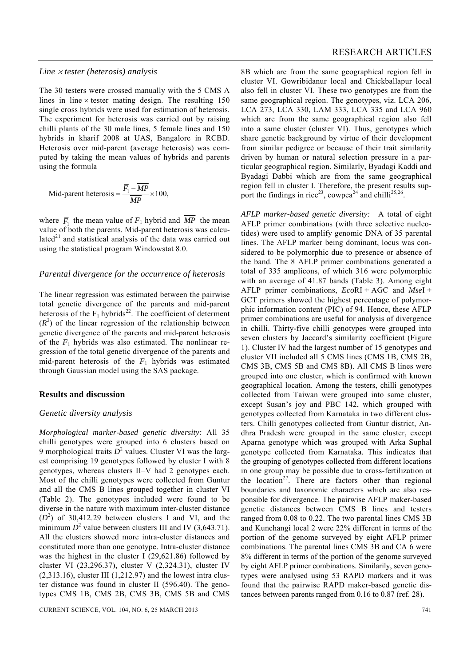#### *Line* × *tester (heterosis) analysis*

The 30 testers were crossed manually with the 5 CMS A lines in line  $\times$  tester mating design. The resulting 150 single cross hybrids were used for estimation of heterosis. The experiment for heterosis was carried out by raising chilli plants of the 30 male lines, 5 female lines and 150 hybrids in kharif 2008 at UAS, Bangalore in RCBD. Heterosis over mid-parent (average heterosis) was computed by taking the mean values of hybrids and parents using the formula

Mid-part heterosis = 
$$
\frac{\overline{F}_1 - \overline{MP}}{\overline{MP}} \times 100,
$$

where  $\overline{F}_1$ , the mean value of  $F_1$  hybrid and  $\overline{MP}$  the mean value of both the parents. Mid-parent heterosis was calculated $21$  and statistical analysis of the data was carried out using the statistical program Windowstat 8.0.

#### *Parental divergence for the occurrence of heterosis*

The linear regression was estimated between the pairwise total genetic divergence of the parents and mid-parent heterosis of the  $F_1$  hybrids<sup>22</sup>. The coefficient of determent  $(R<sup>2</sup>)$  of the linear regression of the relationship between genetic divergence of the parents and mid-parent heterosis of the  $F_1$  hybrids was also estimated. The nonlinear regression of the total genetic divergence of the parents and mid-parent heterosis of the  $F_1$  hybrids was estimated through Gaussian model using the SAS package.

#### **Results and discussion**

#### *Genetic diversity analysis*

*Morphological marker-based genetic diversity:* All 35 chilli genotypes were grouped into 6 clusters based on 9 morphological traits  $D^2$  values. Cluster VI was the largest comprising 19 genotypes followed by cluster I with 8 genotypes, whereas clusters II–V had 2 genotypes each. Most of the chilli genotypes were collected from Guntur and all the CMS B lines grouped together in cluster VI (Table 2). The genotypes included were found to be diverse in the nature with maximum inter-cluster distance  $(D<sup>2</sup>)$  of 30,412.29 between clusters I and VI, and the minimum  $D^2$  value between clusters III and IV (3,643.71). All the clusters showed more intra-cluster distances and constituted more than one genotype. Intra-cluster distance was the highest in the cluster I (29,621.86) followed by cluster VI (23,296.37), cluster V (2,324.31), cluster IV  $(2,313.16)$ , cluster III  $(1,212.97)$  and the lowest intra cluster distance was found in cluster II (596.40). The genotypes CMS 1B, CMS 2B, CMS 3B, CMS 5B and CMS

8B which are from the same geographical region fell in cluster VI. Gowribidanur local and Chickballapur local also fell in cluster VI. These two genotypes are from the same geographical region. The genotypes, viz. LCA 206, LCA 273, LCA 330, LAM 333, LCA 335 and LCA 960 which are from the same geographical region also fell into a same cluster (cluster VI). Thus, genotypes which share genetic background by virtue of their development from similar pedigree or because of their trait similarity driven by human or natural selection pressure in a particular geographical region. Similarly, Byadagi Kaddi and Byadagi Dabbi which are from the same geographical region fell in cluster I. Therefore, the present results support the findings in rice<sup>23</sup>, cowpea<sup>24</sup> and chilli<sup>25,26</sup>.

*AFLP marker-based genetic diversity:* A total of eight AFLP primer combinations (with three selective nucleotides) were used to amplify genomic DNA of 35 parental lines. The AFLP marker being dominant, locus was considered to be polymorphic due to presence or absence of the band. The 8 AFLP primer combinations generated a total of 335 amplicons, of which 316 were polymorphic with an average of 41.87 bands (Table 3). Among eight AFLP primer combinations, *Eco*RI + AGC and *Mse*I + GCT primers showed the highest percentage of polymorphic information content (PIC) of 94. Hence, these AFLP primer combinations are useful for analysis of divergence in chilli. Thirty-five chilli genotypes were grouped into seven clusters by Jaccard's similarity coefficient (Figure 1). Cluster IV had the largest number of 15 genotypes and cluster VII included all 5 CMS lines (CMS 1B, CMS 2B, CMS 3B, CMS 5B and CMS 8B). All CMS B lines were grouped into one cluster, which is confirmed with known geographical location. Among the testers, chilli genotypes collected from Taiwan were grouped into same cluster, except Susan's joy and PBC 142, which grouped with genotypes collected from Karnataka in two different clusters. Chilli genotypes collected from Guntur district, Andhra Pradesh were grouped in the same cluster, except Aparna genotype which was grouped with Arka Suphal genotype collected from Karnataka. This indicates that the grouping of genotypes collected from different locations in one group may be possible due to cross-fertilization at the location<sup>27</sup>. There are factors other than regional boundaries and taxonomic characters which are also responsible for divergence. The pairwise AFLP maker-based genetic distances between CMS B lines and testers ranged from 0.08 to 0.22. The two parental lines CMS 3B and Kunchangi local 2 were 22% different in terms of the portion of the genome surveyed by eight AFLP primer combinations. The parental lines CMS 3B and CA 6 were 8% different in terms of the portion of the genome surveyed by eight AFLP primer combinations. Similarily, seven genotypes were analysed using 53 RAPD markers and it was found that the pairwise RAPD maker-based genetic distances between parents ranged from 0.16 to 0.87 (ref. 28).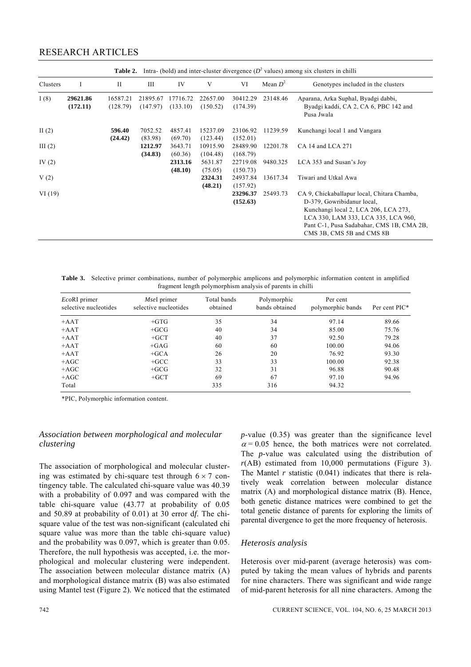# RESEARCH ARTICLES

|           | Intra- (bold) and inter-cluster divergence $(D^2 \text{ values})$ among six clusters in chilli<br>Table 2. |                      |                      |                      |                      |                      |            |                                                                                                                                                                                                                                    |
|-----------|------------------------------------------------------------------------------------------------------------|----------------------|----------------------|----------------------|----------------------|----------------------|------------|------------------------------------------------------------------------------------------------------------------------------------------------------------------------------------------------------------------------------------|
| Clusters  | 1                                                                                                          | $\mathbf{I}$         | III                  | IV                   | V                    | VI                   | Mean $D^2$ | Genotypes included in the clusters                                                                                                                                                                                                 |
| I(8)      | 29621.86<br>(172.11)                                                                                       | 16587.21<br>(128.79) | 21895.67<br>(147.97) | 17716.72<br>(133.10) | 22657.00<br>(150.52) | 30412.29<br>(174.39) | 23148.46   | Aparana, Arka Suphal, Byadgi dabbi,<br>Byadgi kaddi, CA 2, CA 6, PBC 142 and<br>Pusa Jwala                                                                                                                                         |
| II $(2)$  |                                                                                                            | 596.40<br>(24.42)    | 7052.52<br>(83.98)   | 4857.41<br>(69.70)   | 15237.09<br>(123.44) | 23106.92<br>(152.01) | 11239.59   | Kunchangi local 1 and Vangara                                                                                                                                                                                                      |
| III $(2)$ |                                                                                                            |                      | 1212.97<br>(34.83)   | 3643.71<br>(60.36)   | 10915.90<br>(104.48) | 28489.90<br>(168.79) | 12201.78   | CA 14 and LCA 271                                                                                                                                                                                                                  |
| IV $(2)$  |                                                                                                            |                      |                      | 2313.16<br>(48.10)   | 5631.87<br>(75.05)   | 22719.08<br>(150.73) | 9480.325   | LCA 353 and Susan's Joy                                                                                                                                                                                                            |
| V(2)      |                                                                                                            |                      |                      |                      | 2324.31<br>(48.21)   | 24937.84<br>(157.92) | 13617.34   | Tiwari and Utkal Awa                                                                                                                                                                                                               |
| VI(19)    |                                                                                                            |                      |                      |                      |                      | 23296.37<br>(152.63) | 25493.73   | CA 9, Chickaballapur local, Chitara Chamba,<br>D-379, Gowribidanur local,<br>Kunchangi local 2, LCA 206, LCA 273,<br>LCA 330, LAM 333, LCA 335, LCA 960,<br>Pant C-1, Pusa Sadabahar, CMS 1B, CMA 2B,<br>CMS 3B, CMS 5B and CMS 8B |

**Table 3.** Selective primer combinations, number of polymorphic amplicons and polymorphic information content in amplified fragment length polymorphism analysis of parents in chilli

| $EcoRI$ primer<br>selective nucleotides | Msel primer<br>selective nucleotides | Total bands<br>obtained | Polymorphic<br>bands obtained | Per cent<br>polymorphic bands | Per cent PIC* |
|-----------------------------------------|--------------------------------------|-------------------------|-------------------------------|-------------------------------|---------------|
| $+AAT$                                  | $+GTG$                               | 35                      | 34                            | 97.14                         | 89.66         |
| $+AAT$                                  | $+GCG$                               | 40                      | 34                            | 85.00                         | 75.76         |
| $+AAT$                                  | $+GCT$                               | 40                      | 37                            | 92.50                         | 79.28         |
| $+AAT$                                  | $+GAG$                               | 60                      | 60                            | 100.00                        | 94.06         |
| $+AAT$                                  | $+GCA$                               | 26                      | 20                            | 76.92                         | 93.30         |
| $+ AGC$                                 | $+GCC$                               | 33                      | 33                            | 100.00                        | 92.38         |
| $+AGC$                                  | $+GCG$                               | 32                      | 31                            | 96.88                         | 90.48         |
| $+AGC$                                  | $+GCT$                               | 69                      | 67                            | 97.10                         | 94.96         |
| Total                                   |                                      | 335                     | 316                           | 94.32                         |               |

\*PIC, Polymorphic information content.

#### *Association between morphological and molecular clustering*

The association of morphological and molecular clustering was estimated by chi-square test through  $6 \times 7$  contingency table. The calculated chi-square value was 40.39 with a probability of 0.097 and was compared with the table chi-square value (43.77 at probability of 0.05 and 50.89 at probability of 0.01) at 30 error d*f*. The chisquare value of the test was non-significant (calculated chi square value was more than the table chi-square value) and the probability was 0.097, which is greater than 0.05. Therefore, the null hypothesis was accepted, i.e. the morphological and molecular clustering were independent. The association between molecular distance matrix (A) and morphological distance matrix (B) was also estimated using Mantel test (Figure 2). We noticed that the estimated *p*-value (0.35) was greater than the significance level  $\alpha$  = 0.05 hence, the both matrices were not correlated. The *p*-value was calculated using the distribution of  $r(AB)$  estimated from 10,000 permutations (Figure 3). The Mantel  $r$  statistic  $(0.041)$  indicates that there is relatively weak correlation between molecular distance matrix (A) and morphological distance matrix (B). Hence, both genetic distance matrices were combined to get the total genetic distance of parents for exploring the limits of parental divergence to get the more frequency of heterosis.

#### *Heterosis analysis*

Heterosis over mid-parent (average heterosis) was computed by taking the mean values of hybrids and parents for nine characters. There was significant and wide range of mid-parent heterosis for all nine characters. Among the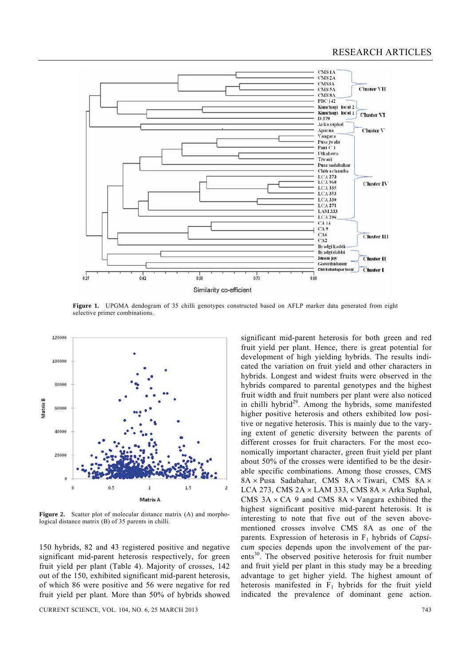

Figure 1. UPGMA dendogram of 35 chilli genotypes constructed based on AFLP marker data generated from eight selective primer combinations.



**Figure 2.** Scatter plot of molecular distance matrix (A) and morphological distance matrix (B) of 35 parents in chilli.

150 hybrids, 82 and 43 registered positive and negative significant mid-parent heterosis respectively, for green fruit yield per plant (Table 4). Majority of crosses, 142 out of the 150, exhibited significant mid-parent heterosis, of which 86 were positive and 56 were negative for red fruit yield per plant. More than 50% of hybrids showed

CURRENT SCIENCE, VOL. 104, NO. 6, 25 MARCH 2013 743

significant mid-parent heterosis for both green and red fruit yield per plant. Hence, there is great potential for development of high yielding hybrids. The results indicated the variation on fruit yield and other characters in hybrids. Longest and widest fruits were observed in the hybrids compared to parental genotypes and the highest fruit width and fruit numbers per plant were also noticed in chilli hybrid<sup>29</sup>. Among the hybrids, some manifested higher positive heterosis and others exhibited low positive or negative heterosis. This is mainly due to the varying extent of genetic diversity between the parents of different crosses for fruit characters. For the most economically important character, green fruit yield per plant about 50% of the crosses were identified to be the desirable specific combinations. Among those crosses, CMS 8A × Pusa Sadabahar, CMS 8A × Tiwari, CMS 8A × LCA 273, CMS  $2A \times LAM$  333, CMS  $8A \times Arka$  Suphal, CMS  $3A \times CA$  9 and CMS  $8A \times V$ angara exhibited the highest significant positive mid-parent heterosis. It is interesting to note that five out of the seven abovementioned crosses involve CMS 8A as one of the parents. Expression of heterosis in F1 hybrids of *Capsicum* species depends upon the involvement of the parents<sup>30</sup>. The observed positive heterosis for fruit number and fruit yield per plant in this study may be a breeding advantage to get higher yield. The highest amount of heterosis manifested in  $F_1$  hybrids for the fruit yield indicated the prevalence of dominant gene action.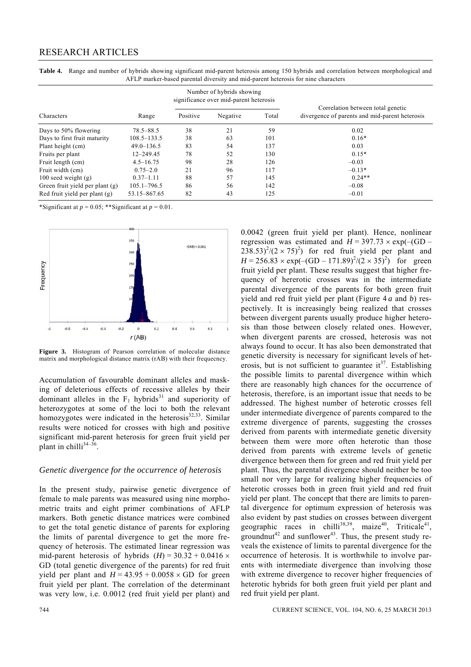# RESEARCH ARTICLES

|                                 |                 |          | Number of hybrids showing<br>significance over mid-parent heterosis |       |                                                                                     |  |
|---------------------------------|-----------------|----------|---------------------------------------------------------------------|-------|-------------------------------------------------------------------------------------|--|
| <b>Characters</b>               | Range           | Positive | Negative                                                            | Total | Correlation between total genetic<br>divergence of parents and mid-parent heterosis |  |
| Days to 50% flowering           | 78.5–88.5       | 38       | 21                                                                  | 59    | 0.02                                                                                |  |
| Days to first fruit maturity    | $108.5 - 133.5$ | 38       | 63                                                                  | 101   | $0.16*$                                                                             |  |
| Plant height (cm)               | $49.0 - 136.5$  | 83       | 54                                                                  | 137   | 0.03                                                                                |  |
| Fruits per plant                | $12 - 249.45$   | 78       | 52                                                                  | 130   | $0.15*$                                                                             |  |
| Fruit length (cm)               | $4.5 - 16.75$   | 98       | 28                                                                  | 126   | $-0.03$                                                                             |  |
| Fruit width (cm)                | $0.75 - 2.0$    | 21       | 96                                                                  | 117   | $-0.13*$                                                                            |  |
| 100 seed weight $(g)$           | $0.37 - 1.11$   | 88       | 57                                                                  | 145   | $0.24**$                                                                            |  |
| Green fruit yield per plant (g) | $105.1 - 796.5$ | 86       | 56                                                                  | 142   | $-0.08$                                                                             |  |
| Red fruit yield per plant (g)   | 53.15-867.65    | 82       | 43                                                                  | 125   | $-0.01$                                                                             |  |

**Table 4.** Range and number of hybrids showing significant mid-parent heterosis among 150 hybrids and correlation between morphological and AFLP marker-based parental diversity and mid-parent heterosis for nine characters

\*Significant at  $p = 0.05$ ; \*\*Significant at  $p = 0.01$ .



**Figure 3.** Histogram of Pearson correlation of molecular distance matrix and morphological distance matrix (rAB) with their frequecncy.

Accumulation of favourable dominant alleles and masking of deleterious effects of recessive alleles by their dominant alleles in the  $F_1$  hybrids<sup>31</sup> and superiority of heterozygotes at some of the loci to both the relevant homozygotes were indicated in the heterosis $32,33$ . Similar results were noticed for crosses with high and positive significant mid-parent heterosis for green fruit yield per plant in chilli<sup>34-36</sup>.

#### *Genetic divergence for the occurrence of heterosis*

In the present study, pairwise genetic divergence of female to male parents was measured using nine morphometric traits and eight primer combinations of AFLP markers. Both genetic distance matrices were combined to get the total genetic distance of parents for exploring the limits of parental divergence to get the more frequency of heterosis. The estimated linear regression was mid-parent heterosis of hybrids  $(H) = 30.32 + 0.0416 \times$ GD (total genetic divergence of the parents) for red fruit yield per plant and  $H = 43.95 + 0.0058 \times \text{GD}$  for green fruit yield per plant. The correlation of the determinant was very low, i.e. 0.0012 (red fruit yield per plant) and 0.0042 (green fruit yield per plant). Hence, nonlinear regression was estimated and  $H = 397.73 \times \exp(-\text{(GD -}$  $238.53^{2}/(2 \times 75)^{2}$  for red fruit yield per plant and  $H = 256.83 \times \exp(-(GD - 171.89)^2/(2 \times 35)^2)$  for green fruit yield per plant. These results suggest that higher frequency of hererotic crosses was in the intermediate parental divergence of the parents for both green fruit yield and red fruit yield per plant (Figure 4 *a* and *b*) respectively. It is increasingly being realized that crosses between divergent parents usually produce higher heterosis than those between closely related ones. However, when divergent parents are crossed, heterosis was not always found to occur. It has also been demonstrated that genetic diversity is necessary for significant levels of heterosis, but is not sufficient to guarantee  $it^{37}$ . Establishing the possible limits to parental divergence within which there are reasonably high chances for the occurrence of heterosis, therefore, is an important issue that needs to be addressed. The highest number of heterotic crosses fell under intermediate divergence of parents compared to the extreme divergence of parents, suggesting the crosses derived from parents with intermediate genetic diversity between them were more often heterotic than those derived from parents with extreme levels of genetic divergence between them for green and red fruit yield per plant. Thus, the parental divergence should neither be too small nor very large for realizing higher frequencies of heterotic crosses both in green fruit yield and red fruit yield per plant. The concept that there are limits to parental divergence for optimum expression of heterosis was also evident by past studies on crosses between divergent geographic races in chilli<sup>38,39</sup>, maize<sup>40</sup>, Triticale<sup>41</sup>, groundnut<sup>42</sup> and sunflower<sup>43</sup>. Thus, the present study reveals the existence of limits to parental divergence for the occurrence of heterosis. It is worthwhile to involve parents with intermediate divergence than involving those with extreme divergence to recover higher frequencies of heterotic hybrids for both green fruit yield per plant and red fruit yield per plant.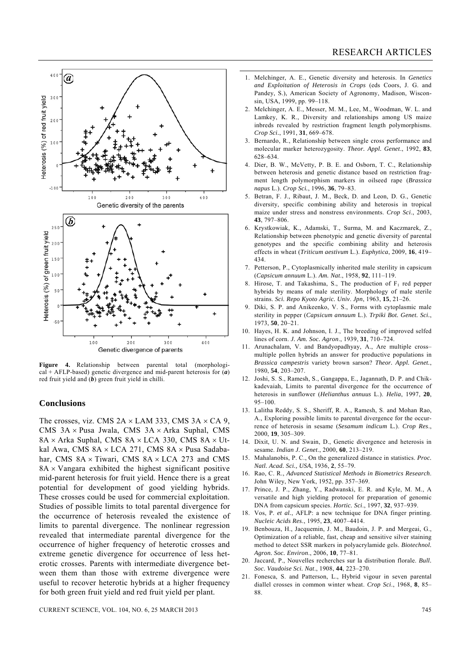

**Figure 4.** Relationship between parental total (morphological + AFLP-based) genetic divergence and mid-parent heterosis for (*a*) red fruit yield and (*b*) green fruit yield in chilli.

#### **Conclusions**

The crosses, viz. CMS  $2A \times LAM$  333, CMS  $3A \times CA$  9, CMS 3A × Pusa Jwala, CMS 3A × Arka Suphal, CMS  $8A \times Arka$  Suphal, CMS  $8A \times LCA$  330, CMS  $8A \times Ut$ kal Awa, CMS 8A × LCA 271, CMS 8A × Pusa Sadabahar, CMS  $8A \times$  Tiwari, CMS  $8A \times$  LCA 273 and CMS  $8A \times V$ angara exhibited the highest significant positive mid-parent heterosis for fruit yield. Hence there is a great potential for development of good yielding hybrids. These crosses could be used for commercial exploitation. Studies of possible limits to total parental divergence for the occurrence of heterosis revealed the existence of limits to parental divergence. The nonlinear regression revealed that intermediate parental divergence for the occurrence of higher frequency of heterotic crosses and extreme genetic divergence for occurrence of less heterotic crosses. Parents with intermediate divergence between them than those with extreme divergence were useful to recover heterotic hybrids at a higher frequency for both green fruit yield and red fruit yield per plant.

- 1. Melchinger, A. E., Genetic diversity and heterosis. In *Genetics and Exploitation of Heterosis in Crops* (eds Coors, J. G. and Pandey, S.), American Society of Agronomy, Madison, Wisconsin, USA, 1999, pp. 99–118.
- 2. Melchinger, A. E., Messer, M. M., Lee, M., Woodman, W. L. and Lamkey, K. R., Diversity and relationships among US maize inbreds revealed by restriction fragment length polymorphisms. *Crop Sci.*, 1991, **31**, 669–678.
- 3. Bernardo, R., Relationship between single cross performance and molecular marker heterozygosity. *Theor. Appl. Genet*., 1992, **83**, 628–634.
- 4. Dier, B. W., McVetty, P. B. E. and Osborn, T. C., Relationship between heterosis and genetic distance based on restriction fragment length polymorphism markers in oilseed rape (*Brassica napus* L.). *Crop Sci.*, 1996, **36**, 79–83.
- 5. Betran, F. J., Ribaut, J. M., Beck, D. and Leon, D. G., Genetic diversity, specific combining ability and heterosis in tropical maize under stress and nonstress environments. *Crop Sci*., 2003, **43**, 797–806.
- 6. Krystkowiak, K., Adamski, T., Surma, M. and Kaczmarek, Z., Relationship between phenotypic and genetic diversity of parental genotypes and the specific combining ability and heterosis effects in wheat (*Triticum aestivum* L.). *Euphytica*, 2009, **16**, 419– 434.
- 7. Petterson, P., Cytoplasmically inherited male sterility in capsicum (*Capsicum annuum* L.). *Am. Nat*., 1958, **92**, 111–119.
- 8. Hirose, T. and Takashima, S., The production of  $F_1$  red pepper hybrids by means of male sterility. Morphology of male sterile strains. *Sci. Repo Kyoto Agric. Univ*. *Jpn*, 1963, **15**, 21–26.
- 9. Diki, S. P. and Anikeenko, V. S., Forms with cytoplasmic male sterility in pepper (*Capsicum annuum* L.). *Trpiki Bot. Genet. Sci.*, 1973, **50**, 20–21.
- 10. Hayes, H. K. and Johnson, I. J., The breeding of improved selfed lines of corn. *J. Am. Soc. Agron*., 1939, **31**, 710–724.
- 11. Arunachalam, V. and Bandyopadhyay, A., Are multiple cross– multiple pollen hybrids an answer for productive populations in *Brassica campestris* variety brown sarson? *Theor. Appl. Genet.*, 1980, **54**, 203–207.
- 12. Joshi, S. S., Ramesh, S., Gangappa, E., Jagannath, D. P. and Chikkadevaiah, Limits to parental divergence for the occurrence of heterosis in sunflower (*Helianthus annuus* L.). *Helia*, 1997, **20**, 95–100.
- 13. Lalitha Reddy, S. S., Sheriff, R. A., Ramesh, S. and Mohan Rao, A., Exploring possible limits to parental divergence for the occurrence of heterosis in sesame (*Sesamum indicum* L*.*). *Crop Res*., 2000, **19**, 305–309.
- 14. Dixit, U. N. and Swain, D., Genetic divergence and heterosis in sesame. *Indian J. Genet*., 2000, **60**, 213–219.
- 15. Mahalanobis, P. C., On the generalized distance in statistics. *Proc. Natl. Acad. Sci., USA*, 1936, **2**, 55–79.
- 16. Rao, C. R., *Advanced Statistical Methods in Biometrics Research*. John Wiley, New York, 1952, pp. 357–369.
- 17. Prince, J. P., Zhang, Y., Radwanski, E. R. and Kyle, M. M., A versatile and high yielding protocol for preparation of genomic DNA from capsicum species. *Hortic. Sci*., 1997, **32**, 937–939.
- 18. Vos, P. *et al.*, AFLP: a new technique for DNA finger printing. *Nucleic Acids Res*., 1995, **23**, 4007–4414.
- 19. Benbouza, H., Jacquemin, J. M., Baudoin, J. P. and Mergeai, G., Optimization of a reliable, fast, cheap and sensitive silver staining method to detect SSR markers in polyacrylamide gels. *Biotechnol. Agron. Soc. Environ*., 2006, **10**, 77–81.
- 20. Jaccard, P., Nouvelles recherches sur la distribution florale. *Bull. Soc. Vaudoise Sci. Nat*., 1908, **44**, 223–270.
- 21. Fonesca, S. and Patterson, L., Hybrid vigour in seven parental diallel crosses in common winter wheat. *Crop Sci*., 1968, **8**, 85– 88.